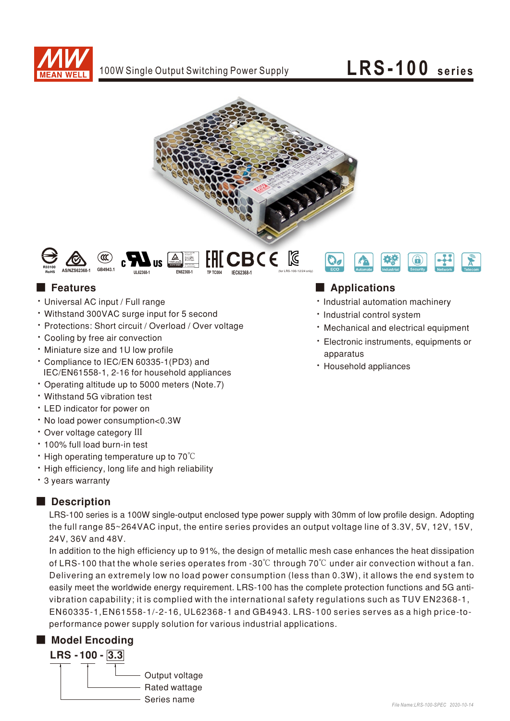

## LRS-100 series





### **Execution**

- · Universal AC input / Full range
- Withstand 300VAC surge input for 5 second
- \* Protections: Short circuit / Overload / Over voltage
- Cooling by free air convection
- · Miniature size and 1U low profile
- \* Compliance to IEC/EN 60335-1(PD3) and IEC/EN61558-1, 2-16 for household appliances
- Operating altitude up to 5000 meters (Note.7)
- · Withstand 5G vibration test
- LED indicator for power on
- . No load power consumption<0.3W
- · Over voltage category III
- . 100% full load burn-in test
- $\cdot$  High operating temperature up to 70 $\degree$ C
- . High efficiency, long life and high reliability
- \* 3 years warranty

#### Description

LRS-100 series is a 100W single-output enclosed type power supply with 30mm of low profile design. Adopting the full range 85~264VAC input, the entire series provides an output voltage line of 3.3V, 5V, 12V, 15V, 24V, 36V and 48V.

In addition to the high efficiency up to 91%, the design of metallic mesh case enhances the heat dissipation of LRS-100 that the whole series operates from -30 $\degree$ C through 70 $\degree$ C under air convection without a fan. Delivering an extremely low no load power consumption (less than 0.3W), it allows the end system to easily meet the worldwide energy requirement. LRS-100 has the complete protection functions and 5G antivibration capability; it is complied with the international safety regulations such as TUV EN2368-1, EN60335-1, EN61558-1/-2-16, UL62368-1 and GB4943. LRS-100 series serves as a high price-toperformance power supply solution for various industrial applications.

### Model Encoding



#### Applications

- · Industrial automation machinery
- · Industrial control system
- · Mechanical and electrical equipment
- · Electronic instruments, equipments or apparatus
- · Household appliances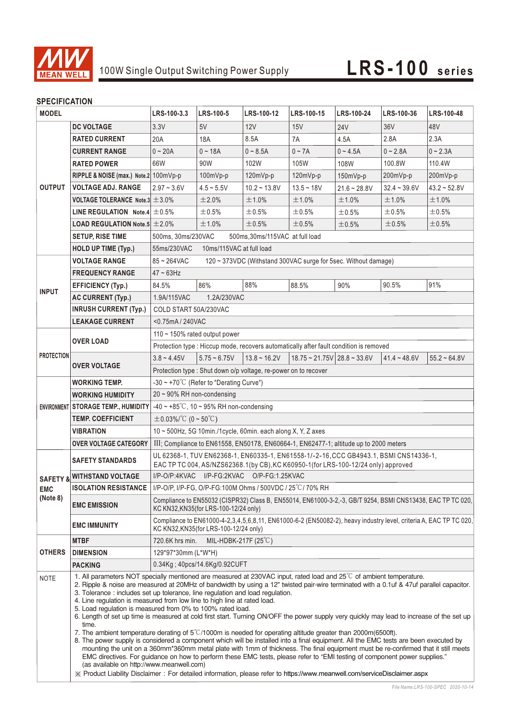

### **SPECIFICATION**

| JELUII IUMI IUN<br><b>MODEL</b>               |                                                                                                                                                                                                                                                                                                                                                                                                                                                                                                                                                                                                                                                                                                                                                                                                                                                                                                                                                                                                                                                                                                                                                                                                                                                                                                                                                                               | LRS-100-3.3                                                                                                                                                 | LRS-100-5                     | LRS-100-12        | LRS-100-15                                  | LRS-100-24     | LRS-100-36      | LRS-100-48        |  |
|-----------------------------------------------|-------------------------------------------------------------------------------------------------------------------------------------------------------------------------------------------------------------------------------------------------------------------------------------------------------------------------------------------------------------------------------------------------------------------------------------------------------------------------------------------------------------------------------------------------------------------------------------------------------------------------------------------------------------------------------------------------------------------------------------------------------------------------------------------------------------------------------------------------------------------------------------------------------------------------------------------------------------------------------------------------------------------------------------------------------------------------------------------------------------------------------------------------------------------------------------------------------------------------------------------------------------------------------------------------------------------------------------------------------------------------------|-------------------------------------------------------------------------------------------------------------------------------------------------------------|-------------------------------|-------------------|---------------------------------------------|----------------|-----------------|-------------------|--|
|                                               | <b>DC VOLTAGE</b>                                                                                                                                                                                                                                                                                                                                                                                                                                                                                                                                                                                                                                                                                                                                                                                                                                                                                                                                                                                                                                                                                                                                                                                                                                                                                                                                                             | 3.3V                                                                                                                                                        | 5V                            | 12V               | 15V                                         | <b>24V</b>     | 36 <sub>V</sub> | 48V               |  |
| <b>OUTPUT</b>                                 | <b>RATED CURRENT</b>                                                                                                                                                                                                                                                                                                                                                                                                                                                                                                                                                                                                                                                                                                                                                                                                                                                                                                                                                                                                                                                                                                                                                                                                                                                                                                                                                          | 20A                                                                                                                                                         | 18A                           | 8.5A              | 7A                                          | 4.5A           | 2.8A            | 2.3A              |  |
|                                               | <b>CURRENT RANGE</b>                                                                                                                                                                                                                                                                                                                                                                                                                                                                                                                                                                                                                                                                                                                                                                                                                                                                                                                                                                                                                                                                                                                                                                                                                                                                                                                                                          | $0 - 20A$                                                                                                                                                   | $0 - 18A$                     | $0 - 8.5A$        | $0 - 7A$                                    | $0 - 4.5A$     | $0 - 2.8A$      | $0 - 2.3A$        |  |
|                                               | <b>RATED POWER</b>                                                                                                                                                                                                                                                                                                                                                                                                                                                                                                                                                                                                                                                                                                                                                                                                                                                                                                                                                                                                                                                                                                                                                                                                                                                                                                                                                            | 66W                                                                                                                                                         | 90W                           | 102W              | 105W                                        | 108W           | 100.8W          | 110.4W            |  |
|                                               | RIPPLE & NOISE (max.) Note.2 100mVp-p                                                                                                                                                                                                                                                                                                                                                                                                                                                                                                                                                                                                                                                                                                                                                                                                                                                                                                                                                                                                                                                                                                                                                                                                                                                                                                                                         |                                                                                                                                                             | 100mVp-p                      | 120mVp-p          | 120mVp-p                                    | 150mVp-p       | 200mVp-p        | 200mVp-p          |  |
|                                               | <b>VOLTAGE ADJ. RANGE</b>                                                                                                                                                                                                                                                                                                                                                                                                                                                                                                                                                                                                                                                                                                                                                                                                                                                                                                                                                                                                                                                                                                                                                                                                                                                                                                                                                     | $2.97 - 3.6V$                                                                                                                                               | $4.5 - 5.5V$                  | $10.2 - 13.8V$    | $13.5 - 18V$                                | $21.6 - 28.8V$ | $32.4 - 39.6V$  | $43.2 \div 52.8V$ |  |
|                                               | VOLTAGE TOLERANCE Note.3 $\pm$ 3.0%                                                                                                                                                                                                                                                                                                                                                                                                                                                                                                                                                                                                                                                                                                                                                                                                                                                                                                                                                                                                                                                                                                                                                                                                                                                                                                                                           |                                                                                                                                                             | ±2.0%                         | ±1.0%             | ±1.0%                                       | ±1.0%          | ±1.0%           | ±1.0%             |  |
|                                               | LINE REGULATION Note.4 $\pm$ 0.5%                                                                                                                                                                                                                                                                                                                                                                                                                                                                                                                                                                                                                                                                                                                                                                                                                                                                                                                                                                                                                                                                                                                                                                                                                                                                                                                                             |                                                                                                                                                             | ±0.5%                         | $\pm 0.5\%$       | ±0.5%                                       | ±0.5%          | ±0.5%           | $\pm 0.5\%$       |  |
|                                               | <b>LOAD REGULATION Note.5 <math>\pm</math> 2.0%</b>                                                                                                                                                                                                                                                                                                                                                                                                                                                                                                                                                                                                                                                                                                                                                                                                                                                                                                                                                                                                                                                                                                                                                                                                                                                                                                                           |                                                                                                                                                             | ±1.0%                         | ±0.5%             | ±0.5%                                       | ±0.5%          | ±0.5%           | ±0.5%             |  |
|                                               | <b>SETUP, RISE TIME</b>                                                                                                                                                                                                                                                                                                                                                                                                                                                                                                                                                                                                                                                                                                                                                                                                                                                                                                                                                                                                                                                                                                                                                                                                                                                                                                                                                       | 500ms, 30ms/230VAC<br>500ms, 30ms/115VAC at full load                                                                                                       |                               |                   |                                             |                |                 |                   |  |
|                                               | <b>HOLD UP TIME (Typ.)</b>                                                                                                                                                                                                                                                                                                                                                                                                                                                                                                                                                                                                                                                                                                                                                                                                                                                                                                                                                                                                                                                                                                                                                                                                                                                                                                                                                    | 10ms/115VAC at full load<br>55ms/230VAC                                                                                                                     |                               |                   |                                             |                |                 |                   |  |
|                                               | <b>VOLTAGE RANGE</b>                                                                                                                                                                                                                                                                                                                                                                                                                                                                                                                                                                                                                                                                                                                                                                                                                                                                                                                                                                                                                                                                                                                                                                                                                                                                                                                                                          | $85 - 264$ VAC<br>120 ~ 373VDC (Withstand 300VAC surge for 5sec. Without damage)                                                                            |                               |                   |                                             |                |                 |                   |  |
| <b>INPUT</b>                                  | <b>FREQUENCY RANGE</b>                                                                                                                                                                                                                                                                                                                                                                                                                                                                                                                                                                                                                                                                                                                                                                                                                                                                                                                                                                                                                                                                                                                                                                                                                                                                                                                                                        | $47 - 63$ Hz                                                                                                                                                |                               |                   |                                             |                |                 |                   |  |
|                                               | <b>EFFICIENCY (Typ.)</b>                                                                                                                                                                                                                                                                                                                                                                                                                                                                                                                                                                                                                                                                                                                                                                                                                                                                                                                                                                                                                                                                                                                                                                                                                                                                                                                                                      | 84.5%                                                                                                                                                       | 86%                           | 88%               | 88.5%                                       | 90%            | 90.5%           | 91%               |  |
|                                               | <b>AC CURRENT (Typ.)</b>                                                                                                                                                                                                                                                                                                                                                                                                                                                                                                                                                                                                                                                                                                                                                                                                                                                                                                                                                                                                                                                                                                                                                                                                                                                                                                                                                      | 1.9A/115VAC                                                                                                                                                 | 1.2A/230VAC                   |                   |                                             |                |                 |                   |  |
|                                               | <b>INRUSH CURRENT (Typ.)</b>                                                                                                                                                                                                                                                                                                                                                                                                                                                                                                                                                                                                                                                                                                                                                                                                                                                                                                                                                                                                                                                                                                                                                                                                                                                                                                                                                  | COLD START 50A/230VAC                                                                                                                                       |                               |                   |                                             |                |                 |                   |  |
|                                               | <b>LEAKAGE CURRENT</b>                                                                                                                                                                                                                                                                                                                                                                                                                                                                                                                                                                                                                                                                                                                                                                                                                                                                                                                                                                                                                                                                                                                                                                                                                                                                                                                                                        | <0.75mA / 240VAC                                                                                                                                            |                               |                   |                                             |                |                 |                   |  |
|                                               |                                                                                                                                                                                                                                                                                                                                                                                                                                                                                                                                                                                                                                                                                                                                                                                                                                                                                                                                                                                                                                                                                                                                                                                                                                                                                                                                                                               | 110 ~ 150% rated output power                                                                                                                               |                               |                   |                                             |                |                 |                   |  |
|                                               | <b>OVER LOAD</b>                                                                                                                                                                                                                                                                                                                                                                                                                                                                                                                                                                                                                                                                                                                                                                                                                                                                                                                                                                                                                                                                                                                                                                                                                                                                                                                                                              | Protection type : Hiccup mode, recovers automatically after fault condition is removed                                                                      |                               |                   |                                             |                |                 |                   |  |
| <b>PROTECTION</b>                             | <b>OVER VOLTAGE</b>                                                                                                                                                                                                                                                                                                                                                                                                                                                                                                                                                                                                                                                                                                                                                                                                                                                                                                                                                                                                                                                                                                                                                                                                                                                                                                                                                           | $3.8 - 4.45V$                                                                                                                                               | $5.75 - 6.75V$                | $13.8 \sim 16.2V$ | $18.75 \approx 21.75V$ 28.8 $\approx 33.6V$ |                | $41.4 - 48.6V$  | $55.2 - 64.8V$    |  |
|                                               |                                                                                                                                                                                                                                                                                                                                                                                                                                                                                                                                                                                                                                                                                                                                                                                                                                                                                                                                                                                                                                                                                                                                                                                                                                                                                                                                                                               |                                                                                                                                                             |                               |                   |                                             |                |                 |                   |  |
|                                               | WORKING TEMP.                                                                                                                                                                                                                                                                                                                                                                                                                                                                                                                                                                                                                                                                                                                                                                                                                                                                                                                                                                                                                                                                                                                                                                                                                                                                                                                                                                 | Protection type: Shut down o/p voltage, re-power on to recover<br>$-30 \sim +70^{\circ}$ C (Refer to "Derating Curve")                                      |                               |                   |                                             |                |                 |                   |  |
|                                               | <b>WORKING HUMIDITY</b>                                                                                                                                                                                                                                                                                                                                                                                                                                                                                                                                                                                                                                                                                                                                                                                                                                                                                                                                                                                                                                                                                                                                                                                                                                                                                                                                                       | $20 \sim 90\%$ RH non-condensing                                                                                                                            |                               |                   |                                             |                |                 |                   |  |
|                                               | ENVIRONMENT STORAGE TEMP., HUMIDITY                                                                                                                                                                                                                                                                                                                                                                                                                                                                                                                                                                                                                                                                                                                                                                                                                                                                                                                                                                                                                                                                                                                                                                                                                                                                                                                                           | -40 ~ +85°C, 10 ~ 95% RH non-condensing                                                                                                                     |                               |                   |                                             |                |                 |                   |  |
|                                               | <b>TEMP. COEFFICIENT</b>                                                                                                                                                                                                                                                                                                                                                                                                                                                                                                                                                                                                                                                                                                                                                                                                                                                                                                                                                                                                                                                                                                                                                                                                                                                                                                                                                      | $\pm$ 0.03%/°C (0 ~ 50°C)                                                                                                                                   |                               |                   |                                             |                |                 |                   |  |
|                                               | <b>VIBRATION</b>                                                                                                                                                                                                                                                                                                                                                                                                                                                                                                                                                                                                                                                                                                                                                                                                                                                                                                                                                                                                                                                                                                                                                                                                                                                                                                                                                              | $10 \sim 500$ Hz, 5G 10min./1cycle, 60min. each along X, Y, Z axes                                                                                          |                               |                   |                                             |                |                 |                   |  |
|                                               | <b>OVER VOLTAGE CATEGORY</b>                                                                                                                                                                                                                                                                                                                                                                                                                                                                                                                                                                                                                                                                                                                                                                                                                                                                                                                                                                                                                                                                                                                                                                                                                                                                                                                                                  | III; Compliance to EN61558, EN50178, EN60664-1, EN62477-1; altitude up to 2000 meters                                                                       |                               |                   |                                             |                |                 |                   |  |
| <b>SAFETY &amp;</b><br><b>EMC</b><br>(Note 8) |                                                                                                                                                                                                                                                                                                                                                                                                                                                                                                                                                                                                                                                                                                                                                                                                                                                                                                                                                                                                                                                                                                                                                                                                                                                                                                                                                                               | UL 62368-1, TUV EN62368-1, EN60335-1, EN61558-1/-2-16, CCC GB4943.1, BSMI CNS14336-1,                                                                       |                               |                   |                                             |                |                 |                   |  |
|                                               | <b>SAFETY STANDARDS</b>                                                                                                                                                                                                                                                                                                                                                                                                                                                                                                                                                                                                                                                                                                                                                                                                                                                                                                                                                                                                                                                                                                                                                                                                                                                                                                                                                       | EAC TP TC 004, AS/NZS62368.1(by CB), KC K60950-1(for LRS-100-12/24 only) approved                                                                           |                               |                   |                                             |                |                 |                   |  |
|                                               | <b>WITHSTAND VOLTAGE</b>                                                                                                                                                                                                                                                                                                                                                                                                                                                                                                                                                                                                                                                                                                                                                                                                                                                                                                                                                                                                                                                                                                                                                                                                                                                                                                                                                      | I/P-O/P:4KVAC I/P-FG:2KVAC O/P-FG:1.25KVAC                                                                                                                  |                               |                   |                                             |                |                 |                   |  |
|                                               |                                                                                                                                                                                                                                                                                                                                                                                                                                                                                                                                                                                                                                                                                                                                                                                                                                                                                                                                                                                                                                                                                                                                                                                                                                                                                                                                                                               | ISOLATION RESISTANCE   I/P-O/P, I/P-FG, O/P-FG:100M Ohms / 500VDC / 25°C/70% RH                                                                             |                               |                   |                                             |                |                 |                   |  |
|                                               | <b>EMC EMISSION</b>                                                                                                                                                                                                                                                                                                                                                                                                                                                                                                                                                                                                                                                                                                                                                                                                                                                                                                                                                                                                                                                                                                                                                                                                                                                                                                                                                           | Compliance to EN55032 (CISPR32) Class B, EN55014, EN61000-3-2,-3, GB/T 9254, BSMI CNS13438, EAC TP TC 020,<br>KC KN32, KN35(for LRS-100-12/24 only)         |                               |                   |                                             |                |                 |                   |  |
|                                               | <b>EMC IMMUNITY</b>                                                                                                                                                                                                                                                                                                                                                                                                                                                                                                                                                                                                                                                                                                                                                                                                                                                                                                                                                                                                                                                                                                                                                                                                                                                                                                                                                           | Compliance to EN61000-4-2,3,4,5,6,8,11, EN61000-6-2 (EN50082-2), heavy industry level, criteria A, EAC TP TC 020,<br>KC KN32, KN35 (for LRS-100-12/24 only) |                               |                   |                                             |                |                 |                   |  |
| <b>OTHERS</b>                                 | <b>MTBF</b>                                                                                                                                                                                                                                                                                                                                                                                                                                                                                                                                                                                                                                                                                                                                                                                                                                                                                                                                                                                                                                                                                                                                                                                                                                                                                                                                                                   | 720.6K hrs min.                                                                                                                                             | MIL-HDBK-217F $(25^{\circ}C)$ |                   |                                             |                |                 |                   |  |
|                                               | <b>DIMENSION</b>                                                                                                                                                                                                                                                                                                                                                                                                                                                                                                                                                                                                                                                                                                                                                                                                                                                                                                                                                                                                                                                                                                                                                                                                                                                                                                                                                              | 129*97*30mm (L*W*H)                                                                                                                                         |                               |                   |                                             |                |                 |                   |  |
|                                               | <b>PACKING</b>                                                                                                                                                                                                                                                                                                                                                                                                                                                                                                                                                                                                                                                                                                                                                                                                                                                                                                                                                                                                                                                                                                                                                                                                                                                                                                                                                                |                                                                                                                                                             | 0.34Kg: 40pcs/14.6Kg/0.92CUFT |                   |                                             |                |                 |                   |  |
| <b>NOTE</b>                                   | 1. All parameters NOT specially mentioned are measured at 230VAC input, rated load and 25 <sup>°</sup> C of ambient temperature.<br>2. Ripple & noise are measured at 20MHz of bandwidth by using a 12" twisted pair-wire terminated with a 0.1uf & 47uf parallel capacitor.<br>3. Tolerance: includes set up tolerance, line regulation and load regulation.<br>4. Line regulation is measured from low line to high line at rated load.<br>5. Load regulation is measured from 0% to 100% rated load.<br>6. Length of set up time is measured at cold first start. Turning ON/OFF the power supply very quickly may lead to increase of the set up<br>time.<br>7. The ambient temperature derating of $5^{\circ}$ (1000m is needed for operating altitude greater than 2000m(6500ft).<br>8. The power supply is considered a component which will be installed into a final equipment. All the EMC tests are been executed by<br>mounting the unit on a 360mm*360mm metal plate with 1mm of thickness. The final equipment must be re-confirmed that it still meets<br>EMC directives. For guidance on how to perform these EMC tests, please refer to "EMI testing of component power supplies."<br>(as available on http://www.meanwell.com)<br>X Product Liability Disclaimer: For detailed information, please refer to https://www.meanwell.com/serviceDisclaimer.aspx |                                                                                                                                                             |                               |                   |                                             |                |                 |                   |  |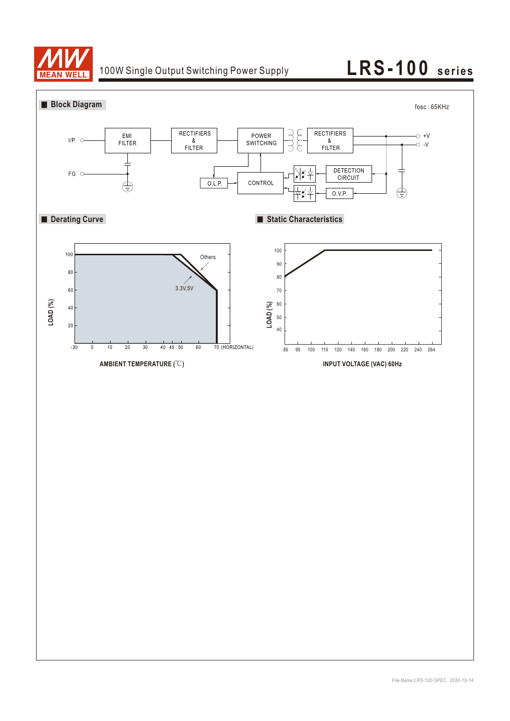

## 100W Single Output Switching Power Supply **LRS-100** series